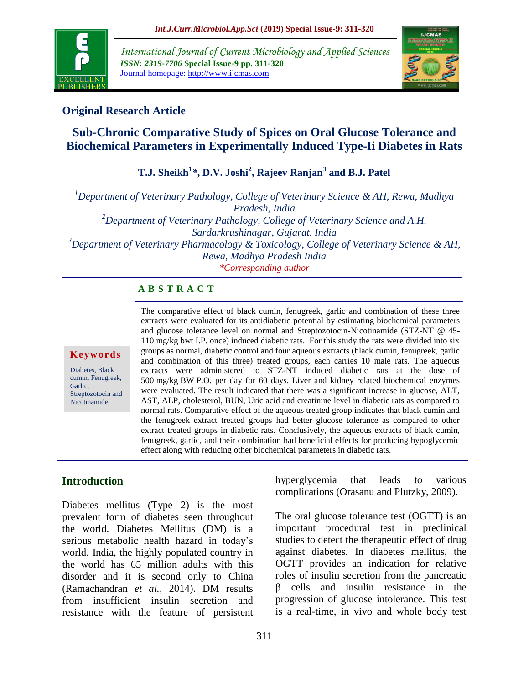

*International Journal of Current Microbiology and Applied Sciences ISSN: 2319-7706* **Special Issue-9 pp. 311-320** Journal homepage: http://www.ijcmas.com



### **Original Research Article**

# **Sub-Chronic Comparative Study of Spices on Oral Glucose Tolerance and Biochemical Parameters in Experimentally Induced Type-Ii Diabetes in Rats**

**T.J. Sheikh<sup>1</sup>** *\****, D.V. Joshi<sup>2</sup> , Rajeev Ranjan<sup>3</sup> and B.J. Patel**

*<sup>1</sup>Department of Veterinary Pathology, College of Veterinary Science & AH, Rewa, Madhya Pradesh, India <sup>2</sup>Department of Veterinary Pathology, College of Veterinary Science and A.H. Sardarkrushinagar, Gujarat, India <sup>3</sup>Department of Veterinary Pharmacology & Toxicology, College of Veterinary Science & AH, Rewa, Madhya Pradesh India*

*\*Corresponding author*

### **A B S T R A C T**

#### **K e y w o r d s**

Diabetes, Black cumin, Fenugreek, Garlic, Streptozotocin and Nicotinamide

The comparative effect of black cumin, fenugreek, garlic and combination of these three extracts were evaluated for its antidiabetic potential by estimating biochemical parameters and glucose tolerance level on normal and Streptozotocin-Nicotinamide (STZ-NT @ 45- 110 mg/kg bwt I.P. once) induced diabetic rats. For this study the rats were divided into six groups as normal, diabetic control and four aqueous extracts (black cumin, fenugreek, garlic and combination of this three) treated groups, each carries 10 male rats. The aqueous extracts were administered to STZ-NT induced diabetic rats at the dose of 500 mg/kg BW P.O*.* per day for 60 days. Liver and kidney related biochemical enzymes were evaluated. The result indicated that there was a significant increase in glucose, ALT, AST, ALP, cholesterol, BUN, Uric acid and creatinine level in diabetic rats as compared to normal rats. Comparative effect of the aqueous treated group indicates that black cumin and the fenugreek extract treated groups had better glucose tolerance as compared to other extract treated groups in diabetic rats. Conclusively, the aqueous extracts of black cumin, fenugreek, garlic, and their combination had beneficial effects for producing hypoglycemic effect along with reducing other biochemical parameters in diabetic rats.

### **Introduction**

Diabetes mellitus (Type 2) is the most prevalent form of diabetes seen throughout the world. Diabetes Mellitus (DM) is a serious metabolic health hazard in today's world. India, the highly populated country in the world has 65 million adults with this disorder and it is second only to China (Ramachandran *et al.,* 2014). DM results from insufficient insulin secretion and resistance with the feature of persistent hyperglycemia that leads to various complications (Orasanu and Plutzky, 2009).

The oral glucose tolerance test (OGTT) is an important procedural test in preclinical studies to detect the therapeutic effect of drug against diabetes. In diabetes mellitus, the OGTT provides an indication for relative roles of insulin secretion from the pancreatic β cells and insulin resistance in the progression of glucose intolerance. This test is a real-time, in vivo and whole body test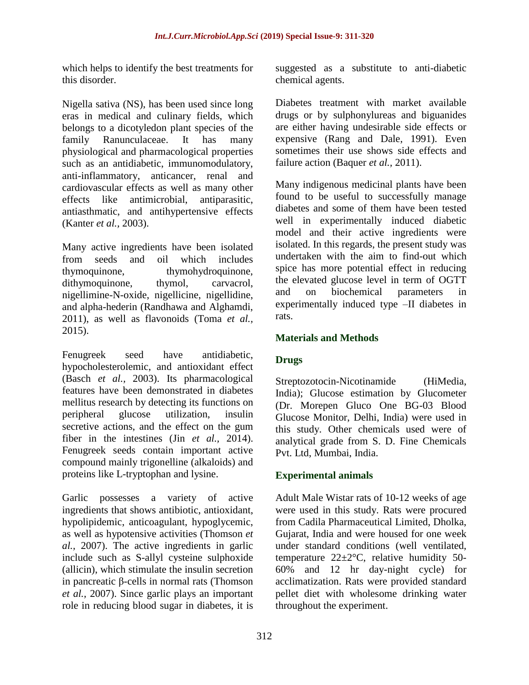which helps to identify the best treatments for this disorder.

Nigella sativa (NS), has been used since long eras in medical and culinary fields, which belongs to a dicotyledon plant species of the family Ranunculaceae. It has many physiological and pharmacological properties such as an antidiabetic, immunomodulatory, anti-inflammatory, anticancer, renal and cardiovascular effects as well as many other effects like antimicrobial, antiparasitic, antiasthmatic, and antihypertensive effects (Kanter *et al.,* 2003).

Many active ingredients have been isolated from seeds and oil which includes thymoquinone, thymohydroquinone, dithymoquinone, thymol, carvacrol, nigellimine-N-oxide, nigellicine, nigellidine, and alpha-hederin (Randhawa and Alghamdi, 2011), as well as flavonoids (Toma *et al.,* 2015).

Fenugreek seed have antidiabetic, hypocholesterolemic, and antioxidant effect (Basch *et al.,* 2003). Its pharmacological features have been demonstrated in diabetes mellitus research by detecting its functions on peripheral glucose utilization, insulin secretive actions, and the effect on the gum fiber in the intestines (Jin *et al.,* 2014). Fenugreek seeds contain important active compound mainly trigonelline (alkaloids) and proteins like L-tryptophan and lysine.

Garlic possesses a variety of active ingredients that shows antibiotic, antioxidant, hypolipidemic, anticoagulant, hypoglycemic, as well as hypotensive activities (Thomson *et al.,* 2007). The active ingredients in garlic include such as S-allyl cysteine sulphoxide (allicin), which stimulate the insulin secretion in pancreatic β-cells in normal rats (Thomson *et al.,* 2007). Since garlic plays an important role in reducing blood sugar in diabetes, it is suggested as a substitute to anti-diabetic chemical agents.

Diabetes treatment with market available drugs or by sulphonylureas and biguanides are either having undesirable side effects or expensive (Rang and Dale, 1991). Even sometimes their use shows side effects and failure action (Baquer *et al.,* 2011).

Many indigenous medicinal plants have been found to be useful to successfully manage diabetes and some of them have been tested well in experimentally induced diabetic model and their active ingredients were isolated. In this regards, the present study was undertaken with the aim to find-out which spice has more potential effect in reducing the elevated glucose level in term of OGTT and on biochemical parameters in experimentally induced type –II diabetes in rats.

# **Materials and Methods**

# **Drugs**

Streptozotocin-Nicotinamide (HiMedia, India); Glucose estimation by Glucometer (Dr. Morepen Gluco One BG-03 Blood Glucose Monitor, Delhi, India) were used in this study. Other chemicals used were of analytical grade from S. D. Fine Chemicals Pvt. Ltd, Mumbai, India.

# **Experimental animals**

Adult Male Wistar rats of 10-12 weeks of age were used in this study. Rats were procured from Cadila Pharmaceutical Limited, Dholka, Gujarat, India and were housed for one week under standard conditions (well ventilated, temperature  $22 \pm 2$ °C, relative humidity 50-60% and 12 hr day-night cycle) for acclimatization. Rats were provided standard pellet diet with wholesome drinking water throughout the experiment.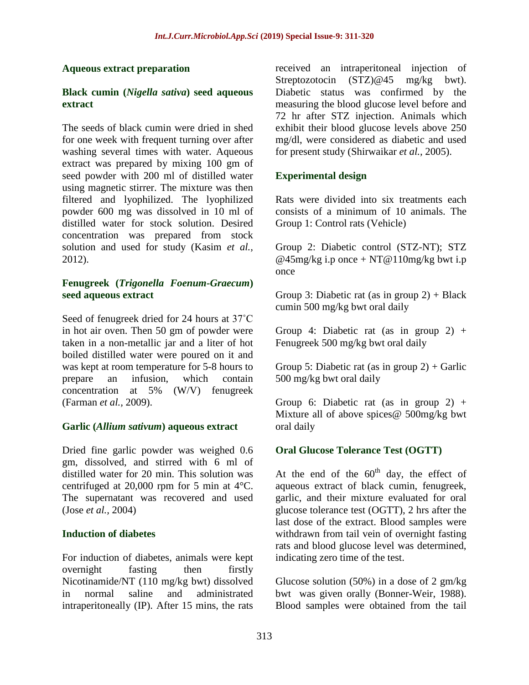#### **Aqueous extract preparation**

#### **Black cumin (***Nigella sativa***) seed aqueous extract**

The seeds of black cumin were dried in shed for one week with frequent turning over after washing several times with water. Aqueous extract was prepared by mixing 100 gm of seed powder with 200 ml of distilled water using magnetic stirrer. The mixture was then filtered and lyophilized. The lyophilized powder 600 mg was dissolved in 10 ml of distilled water for stock solution. Desired concentration was prepared from stock solution and used for study (Kasim *et al.,* 2012).

#### **Fenugreek (***Trigonella Foenum-Graecum***) seed aqueous extract**

Seed of fenugreek dried for 24 hours at 37˚C in hot air oven. Then 50 gm of powder were taken in a non-metallic jar and a liter of hot boiled distilled water were poured on it and was kept at room temperature for 5-8 hours to prepare an infusion, which contain concentration at 5% (W/V) fenugreek (Farman *et al.,* 2009).

### **Garlic (***Allium sativum***) aqueous extract**

Dried fine garlic powder was weighed 0.6 gm, dissolved, and stirred with 6 ml of distilled water for 20 min. This solution was centrifuged at 20,000 rpm for 5 min at 4°C. The supernatant was recovered and used (Jose *et al.,* 2004)

### **Induction of diabetes**

For induction of diabetes, animals were kept overnight fasting then firstly Nicotinamide/NT (110 mg/kg bwt) dissolved in normal saline and administrated intraperitoneally (IP). After 15 mins, the rats

received an intraperitoneal injection of Streptozotocin (STZ)@45 mg/kg bwt). Diabetic status was confirmed by the measuring the blood glucose level before and 72 hr after STZ injection. Animals which exhibit their blood glucose levels above 250 mg/dl, were considered as diabetic and used for present study (Shirwaikar *et al.,* 2005).

### **Experimental design**

Rats were divided into six treatments each consists of a minimum of 10 animals. The Group 1: Control rats (Vehicle)

Group 2: Diabetic control (STZ-NT); STZ @45mg/kg i.p once + NT@110mg/kg bwt i.p once

Group 3: Diabetic rat (as in group  $2$ ) + Black cumin 500 mg/kg bwt oral daily

Group 4: Diabetic rat (as in group 2)  $+$ Fenugreek 500 mg/kg bwt oral daily

Group 5: Diabetic rat (as in group  $2$ ) + Garlic 500 mg/kg bwt oral daily

Group 6: Diabetic rat (as in group 2) + Mixture all of above spices@ 500mg/kg bwt oral daily

### **Oral Glucose Tolerance Test (OGTT)**

At the end of the  $60<sup>th</sup>$  day, the effect of aqueous extract of black cumin, fenugreek, garlic, and their mixture evaluated for oral glucose tolerance test (OGTT), 2 hrs after the last dose of the extract. Blood samples were withdrawn from tail vein of overnight fasting rats and blood glucose level was determined, indicating zero time of the test.

Glucose solution (50%) in a dose of 2 gm/kg bwt was given orally (Bonner-Weir, 1988). Blood samples were obtained from the tail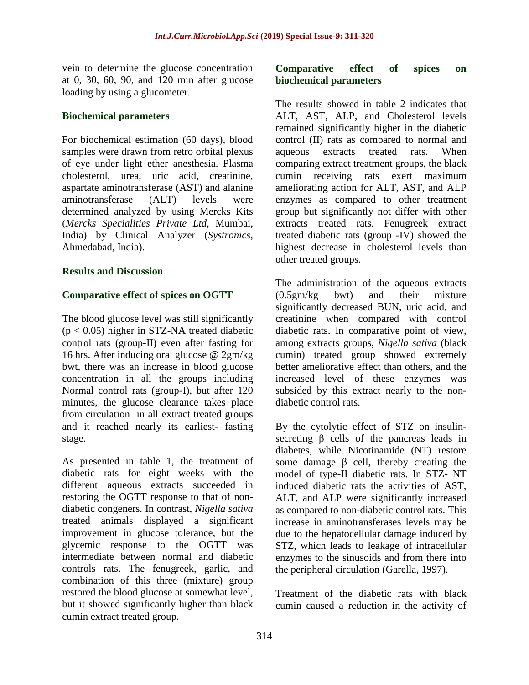vein to determine the glucose concentration at 0, 30, 60, 90, and 120 min after glucose loading by using a glucometer.

#### **Biochemical parameters**

For biochemical estimation (60 days), blood samples were drawn from retro orbital plexus of eye under light ether anesthesia. Plasma cholesterol, urea, uric acid, creatinine, aspartate aminotransferase (AST) and alanine aminotransferase (ALT) levels were determined analyzed by using Mercks Kits (*Mercks Specialities Private Ltd,* Mumbai, India) by Clinical Analyzer (*Systronics*, Ahmedabad, India).

#### **Results and Discussion**

### **Comparative effect of spices on OGTT**

The blood glucose level was still significantly  $(p < 0.05)$  higher in STZ-NA treated diabetic control rats (group-II) even after fasting for 16 hrs. After inducing oral glucose @ 2gm/kg bwt, there was an increase in blood glucose concentration in all the groups including Normal control rats (group-I), but after 120 minutes, the glucose clearance takes place from circulation in all extract treated groups and it reached nearly its earliest- fasting stage.

As presented in table 1, the treatment of diabetic rats for eight weeks with the different aqueous extracts succeeded in restoring the OGTT response to that of nondiabetic congeners. In contrast, *Nigella sativa* treated animals displayed a significant improvement in glucose tolerance, but the glycemic response to the OGTT was intermediate between normal and diabetic controls rats. The fenugreek, garlic, and combination of this three (mixture) group restored the blood glucose at somewhat level, but it showed significantly higher than black cumin extract treated group.

#### **Comparative effect of spices on biochemical parameters**

The results showed in table 2 indicates that ALT, AST, ALP, and Cholesterol levels remained significantly higher in the diabetic control (II) rats as compared to normal and aqueous extracts treated rats. When comparing extract treatment groups, the black cumin receiving rats exert maximum ameliorating action for ALT, AST, and ALP enzymes as compared to other treatment group but significantly not differ with other extracts treated rats. Fenugreek extract treated diabetic rats (group -IV) showed the highest decrease in cholesterol levels than other treated groups.

The administration of the aqueous extracts (0.5gm/kg bwt) and their mixture significantly decreased BUN, uric acid, and creatinine when compared with control diabetic rats. In comparative point of view, among extracts groups, *Nigella sativa* (black cumin) treated group showed extremely better ameliorative effect than others, and the increased level of these enzymes was subsided by this extract nearly to the nondiabetic control rats.

By the cytolytic effect of STZ on insulinsecreting β cells of the pancreas leads in diabetes, while Nicotinamide (NT) restore some damage  $β$  cell, thereby creating the model of type-II diabetic rats. In STZ- NT induced diabetic rats the activities of AST, ALT, and ALP were significantly increased as compared to non-diabetic control rats. This increase in aminotransferases levels may be due to the hepatocellular damage induced by STZ, which leads to leakage of intracellular enzymes to the sinusoids and from there into the peripheral circulation (Garella, 1997).

Treatment of the diabetic rats with black cumin caused a reduction in the activity of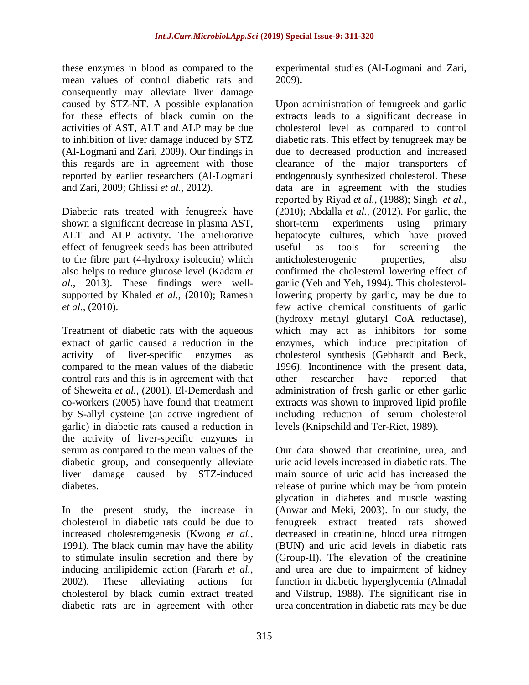these enzymes in blood as compared to the mean values of control diabetic rats and consequently may alleviate liver damage caused by STZ-NT. A possible explanation for these effects of black cumin on the activities of AST, ALT and ALP may be due to inhibition of liver damage induced by STZ (Al-Logmani and Zari, 2009). Our findings in this regards are in agreement with those reported by earlier researchers (Al-Logmani and Zari, 2009; Ghlissi *et al.,* 2012).

Diabetic rats treated with fenugreek have shown a significant decrease in plasma AST, ALT and ALP activity. The ameliorative effect of fenugreek seeds has been attributed to the fibre part (4-hydroxy isoleucin) which also helps to reduce glucose level (Kadam *et al.,* 2013). These findings were wellsupported by Khaled *et al.,* (2010); Ramesh *et al.,* (2010).

Treatment of diabetic rats with the aqueous extract of garlic caused a reduction in the activity of liver-specific enzymes as compared to the mean values of the diabetic control rats and this is in agreement with that of Sheweita *et al.,* (2001). El-Demerdash and co-workers (2005) have found that treatment by S-allyl cysteine (an active ingredient of garlic) in diabetic rats caused a reduction in the activity of liver-specific enzymes in serum as compared to the mean values of the diabetic group, and consequently alleviate liver damage caused by STZ-induced diabetes.

In the present study, the increase in cholesterol in diabetic rats could be due to increased cholesterogenesis (Kwong *et al.,* 1991). The black cumin may have the ability to stimulate insulin secretion and there by inducing antilipidemic action (Fararh *et al.,* 2002). These alleviating actions for cholesterol by black cumin extract treated diabetic rats are in agreement with other experimental studies (Al-Logmani and Zari, 2009)**.**

Upon administration of fenugreek and garlic extracts leads to a significant decrease in cholesterol level as compared to control diabetic rats. This effect by fenugreek may be due to decreased production and increased clearance of the major transporters of endogenously synthesized cholesterol. These data are in agreement with the studies reported by Riyad *et al.,* (1988); Singh *et al.,*  (2010); Abdalla *et al.,* (2012). For garlic, the short-term experiments using primary hepatocyte cultures, which have proved useful as tools for screening the anticholesterogenic properties, also confirmed the cholesterol lowering effect of garlic (Yeh and Yeh, 1994). This cholesterollowering property by garlic, may be due to few active chemical constituents of garlic (hydroxy methyl glutaryl CoA reductase), which may act as inhibitors for some enzymes, which induce precipitation of cholesterol synthesis (Gebhardt and Beck, 1996). Incontinence with the present data, other researcher have reported that administration of fresh garlic or ether garlic extracts was shown to improved lipid profile including reduction of serum cholesterol levels (Knipschild and Ter-Riet, 1989).

Our data showed that creatinine, urea, and uric acid levels increased in diabetic rats. The main source of uric acid has increased the release of purine which may be from protein glycation in diabetes and muscle wasting (Anwar and Meki, 2003). In our study, the fenugreek extract treated rats showed decreased in creatinine, blood urea nitrogen (BUN) and uric acid levels in diabetic rats (Group-II). The elevation of the creatinine and urea are due to impairment of kidney function in diabetic hyperglycemia (Almadal and Vilstrup, 1988). The significant rise in urea concentration in diabetic rats may be due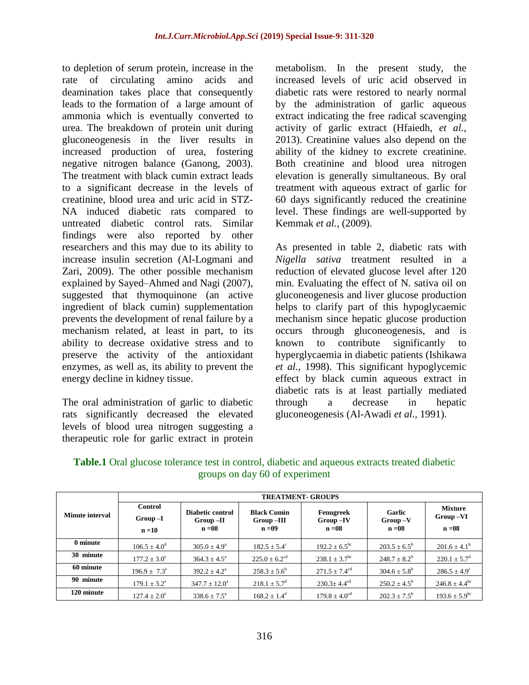to depletion of serum protein, increase in the rate of circulating amino acids and deamination takes place that consequently leads to the formation of a large amount of ammonia which is eventually converted to urea. The breakdown of protein unit during gluconeogenesis in the liver results in increased production of urea, fostering negative nitrogen balance (Ganong, 2003). The treatment with black cumin extract leads to a significant decrease in the levels of creatinine, blood urea and uric acid in STZ-NA induced diabetic rats compared to untreated diabetic control rats. Similar findings were also reported by other researchers and this may due to its ability to increase insulin secretion (Al-Logmani and Zari, 2009). The other possible mechanism explained by Sayed–Ahmed and Nagi (2007), suggested that thymoquinone (an active ingredient of black cumin) supplementation prevents the development of renal failure by a mechanism related, at least in part, to its ability to decrease oxidative stress and to preserve the activity of the antioxidant enzymes, as well as, its ability to prevent the energy decline in kidney tissue.

The oral administration of garlic to diabetic rats significantly decreased the elevated levels of blood urea nitrogen suggesting a therapeutic role for garlic extract in protein

**30 minute**  $177.2 \pm 3.0^e$ 

**60 minute**  $196.9 \pm 7.3^e$ 

**90 minute**  $179.1 \pm 3.2^e$ 

**120 minute**  $127.4 \pm 2.0^e$ 

metabolism. In the present study, the increased levels of uric acid observed in diabetic rats were restored to nearly normal by the administration of garlic aqueous extract indicating the free radical scavenging activity of garlic extract (Hfaiedh, *et al.,* 2013). Creatinine values also depend on the ability of the kidney to excrete creatinine. Both creatinine and blood urea nitrogen elevation is generally simultaneous. By oral treatment with aqueous extract of garlic for 60 days significantly reduced the creatinine level. These findings are well-supported by Kemmak *et al.,* (2009).

As presented in table 2, diabetic rats with *Nigella sativa* treatment resulted in a reduction of elevated glucose level after 120 min. Evaluating the effect of N. sativa oil on gluconeogenesis and liver glucose production helps to clarify part of this hypoglycaemic mechanism since hepatic glucose production occurs through gluconeogenesis, and is known to contribute significantly to hyperglycaemia in diabetic patients (Ishikawa *et al.,* 1998). This significant hypoglycemic effect by black cumin aqueous extract in diabetic rats is at least partially mediated through a decrease in hepatic gluconeogenesis (Al-Awadi *et al.,* 1991).

 $271.5 \pm 7.4^{\text{cd}}$  304.6  $\pm 5.8^{\text{b}}$ 

 $230.3 \pm 4.4^{\text{cd}}$  250.2  $\pm 4.5^{\text{b}}$ 

 $202.3 \pm 7.5^b$ 

 $225.0 + 6.2^{\text{cd}}$  238.1 + 3.7<sup>bc</sup> 248.7 + 8.2<sup>b</sup>

 $179.8 \pm 4.0$ <sup>cd</sup>

 $220.1 \pm 5.7^{\rm d}$ 

 $286.5 \pm 4.9^{\circ}$ 

 $246.8 \pm 4.4^{\rm bc}$ 

 $193.6 \pm 5.9^{\rm bc}$ 

| <b>Minute interval</b> | <b>TREATMENT- GROUPS</b>                |                                            |                                                |                                      |                                 |                                           |  |  |  |
|------------------------|-----------------------------------------|--------------------------------------------|------------------------------------------------|--------------------------------------|---------------------------------|-------------------------------------------|--|--|--|
|                        | <b>Control</b><br>$Group-I$<br>$n = 10$ | Diabetic control<br>$Group-II$<br>$n = 08$ | <b>Black Cumin</b><br>$Group -III$<br>$n = 09$ | Fenugreek<br>$Group -IV$<br>$n = 08$ | Garlic<br>$Group-V$<br>$n = 08$ | <b>Mixture</b><br>$Group -VI$<br>$n = 08$ |  |  |  |
| 0 minute               | $106.5 \pm 4.0^{\rm d}$                 | $305.0 \pm 4.9^{\circ}$                    | $182.5 \pm 5.4^{\circ}$                        | $192.2 \pm 6.5^{\rm bc}$             | $203.5 \pm 6.5^{\circ}$         | $201.6 \pm 4.1^{\rm b}$                   |  |  |  |

 $258.3 \pm 5.6^b$ 

 $218.1 \pm 5.7^{\rm d}$ 

 $168.2 \pm 1.4^d$ 

 $364.3 + 4.5^{\circ}$ 

 $392.2 \pm 4.2^a$ 

 $347.7 \pm 12.0^a$ 

 $338.6 \pm 7.5^{\rm a}$ 

**Table.1** Oral glucose tolerance test in control, diabetic and aqueous extracts treated diabetic groups on day 60 of experiment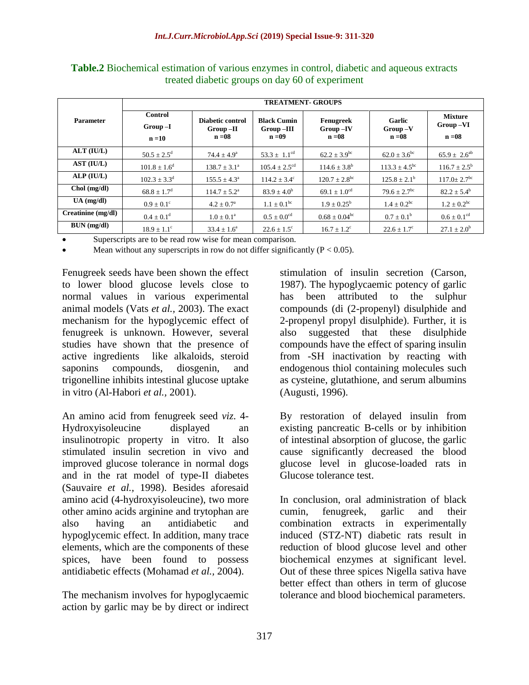|                    | <b>TREATMENT- GROUPS</b>                |                                            |                                                |                                      |                                 |                                        |  |  |  |
|--------------------|-----------------------------------------|--------------------------------------------|------------------------------------------------|--------------------------------------|---------------------------------|----------------------------------------|--|--|--|
| <b>Parameter</b>   | <b>Control</b><br>$Group-I$<br>$n = 10$ | Diabetic control<br>$Group-II$<br>$n = 08$ | <b>Black Cumin</b><br>$Group -III$<br>$n = 09$ | Fenugreek<br>$Group -IV$<br>$n = 08$ | Garlic<br>$Group-V$<br>$n = 08$ | <b>Mixture</b><br>Group-VI<br>$n = 08$ |  |  |  |
| ALT (IU/L)         | $50.5 \pm 2.5^{\rm d}$                  | $74.4 \pm 4.9^{\circ}$                     | 53.3 $\pm$ 1.1 <sup>cd</sup>                   | $62.2 \pm 3.9^{\rm bc}$              | $62.0 \pm 3.6^{\rm bc}$         | $65.9 \pm 2.6^{ab}$                    |  |  |  |
| AST (IU/L)         | $101.8 \pm 1.6^d$                       | $138.7 \pm 3.1^{\circ}$                    | $105.4 + 2.5^{\text{cd}}$                      | $114.6 \pm 3.8^{\rm b}$              | $113.3 + 4.5^{bc}$              | $116.7 \pm 2.5^{\rm b}$                |  |  |  |
| ALP (IUL)          | $102.3 + 3.3^d$                         | $155.5 + 4.3^a$                            | $114.2 \pm 3.4^{\circ}$                        | $120.7 \pm 2.8^{\rm bc}$             | $125.8 \pm 2.1^{\rm b}$         | $117.0 + 2.7$ <sup>bc</sup>            |  |  |  |
| $Chol$ (mg/dl)     | $68.8 \pm 1.7^{\rm d}$                  | $114.7 \pm 5.2^{\circ}$                    | $83.9 \pm 4.0^b$                               | $69.1 \pm 1.0^{cd}$                  | $79.6 \pm 2.7$ <sup>bc</sup>    | $82.2 \pm 5.4^b$                       |  |  |  |
| $UA$ (mg/dl)       | $0.9 + 0.1^{\circ}$                     | $4.2 + 0.7a$                               | $1.1 \pm 0.1^{\rm bc}$                         | $1.9 + 0.25^b$                       | $1.4 + 0.2^{bc}$                | $1.2 \pm 0.2^{bc}$                     |  |  |  |
| Creatinine (mg/dl) | $0.4 + 0.1^d$                           | $1.0 + 0.1^a$                              | $0.5 + 0.0$ <sup>cd</sup>                      | $0.68 \pm 0.04^{\rm bc}$             | $0.7 + 0.1^b$                   | $0.6 \pm 0.1$ <sup>cd</sup>            |  |  |  |
| BUN (mg/dl)        | $18.9 \pm 1.1^{\circ}$                  | $33.4 \pm 1.6^a$                           | $22.6 \pm 1.5^{\circ}$                         | $16.7 \pm 1.2^{\circ}$               | $22.6 \pm 1.7^{\circ}$          | $27.1 \pm 2.0^{\rm b}$                 |  |  |  |

**Table.2** Biochemical estimation of various enzymes in control, diabetic and aqueous extracts treated diabetic groups on day 60 of experiment

Superscripts are to be read row wise for mean comparison.

Mean without any superscripts in row do not differ significantly  $(P < 0.05)$ .

Fenugreek seeds have been shown the effect to lower blood glucose levels close to normal values in various experimental animal models (Vats *et al.,* 2003). The exact mechanism for the hypoglycemic effect of fenugreek is unknown. However, several studies have shown that the presence of active ingredients like alkaloids, steroid saponins compounds, diosgenin, and trigonelline inhibits intestinal glucose uptake in vitro (Al-Habori *et al.,* 2001).

An amino acid from fenugreek seed *viz*. 4- Hydroxyisoleucine displayed an insulinotropic property in vitro. It also stimulated insulin secretion in vivo and improved glucose tolerance in normal dogs and in the rat model of type-II diabetes (Sauvaire *et al.,* 1998). Besides aforesaid amino acid (4-hydroxyisoleucine), two more other amino acids arginine and trytophan are also having an antidiabetic and hypoglycemic effect. In addition, many trace elements, which are the components of these spices, have been found to possess antidiabetic effects (Mohamad *et al.,* 2004).

The mechanism involves for hypoglycaemic action by garlic may be by direct or indirect stimulation of insulin secretion (Carson, 1987). The hypoglycaemic potency of garlic has been attributed to the sulphur compounds (di (2-propenyl) disulphide and 2-propenyl propyl disulphide). Further, it is also suggested that these disulphide compounds have the effect of sparing insulin from -SH inactivation by reacting with endogenous thiol containing molecules such as cysteine, glutathione, and serum albumins (Augusti, 1996).

By restoration of delayed insulin from existing pancreatic B-cells or by inhibition of intestinal absorption of glucose, the garlic cause significantly decreased the blood glucose level in glucose-loaded rats in Glucose tolerance test.

In conclusion, oral administration of black cumin, fenugreek, garlic and their combination extracts in experimentally induced (STZ-NT) diabetic rats result in reduction of blood glucose level and other biochemical enzymes at significant level. Out of these three spices Nigella sativa have better effect than others in term of glucose tolerance and blood biochemical parameters.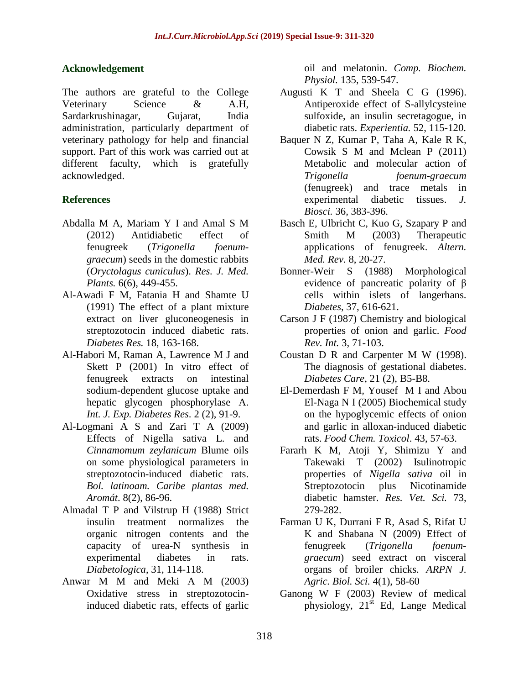### **Acknowledgement**

The authors are grateful to the College Veterinary Science & A.H, Sardarkrushinagar, Gujarat, India administration, particularly department of veterinary pathology for help and financial support. Part of this work was carried out at different faculty, which is gratefully acknowledged.

# **References**

- Abdalla M A*,* Mariam Y I and Amal S M (2012) Antidiabetic effect of fenugreek (*Trigonella foenumgraecum*) seeds in the domestic rabbits (*Oryctolagus cuniculus*). *Res. J. Med. Plants.* 6(6), 449-455.
- Al-Awadi F M, Fatania H and Shamte U (1991) The effect of a plant mixture extract on liver gluconeogenesis in streptozotocin induced diabetic rats. *Diabetes Res.* 18, 163-168.
- Al-Habori M*,* Raman A*,* Lawrence M J and Skett P (2001) In vitro effect of fenugreek extracts on intestinal sodium-dependent glucose uptake and hepatic glycogen phosphorylase A. *Int. J. Exp. Diabetes Res*. 2 (2), 91-9.
- Al-Logmani A S and Zari T A (2009) Effects of Nigella sativa L. and *Cinnamomum zeylanicum* Blume oils on some physiological parameters in streptozotocin-induced diabetic rats. *Bol. latinoam. Caribe plantas med. Aromát*. 8(2), 86-96.
- Almadal T P and Vilstrup H (1988) Strict insulin treatment normalizes the organic nitrogen contents and the capacity of urea-N synthesis in experimental diabetes in rats. *Diabetologica*, 31, 114-118.
- Anwar M M and Meki A M (2003) Oxidative stress in streptozotocininduced diabetic rats, effects of garlic

oil and melatonin. *Comp. Biochem. Physiol.* 135, 539-547.

- Augusti K T and Sheela C G (1996). Antiperoxide effect of S-allylcysteine sulfoxide, an insulin secretagogue, in diabetic rats. *Experientia.* 52, 115-120.
- Baquer N Z*,* Kumar P*,* Taha A*,* Kale R K*,* Cowsik S M and Mclean P (2011) Metabolic and molecular action of *Trigonella foenum-graecum* (fenugreek) and trace metals in experimental diabetic tissues. *J. Biosci.* 36, 383-396.
- Basch E*,* Ulbricht C*,* Kuo G*,* Szapary P and Smith M (2003) Therapeutic applications of fenugreek. *Altern. Med. Rev.* 8, 20-27.
- Bonner-Weir S (1988) Morphological evidence of pancreatic polarity of β cells within islets of langerhans. *Diabetes*, 37, 616-621.
- Carson J F (1987) Chemistry and biological properties of onion and garlic. *Food Rev. Int.* 3, 71-103.
- Coustan D R and Carpenter M W (1998). The diagnosis of gestational diabetes. *Diabetes Care*, 21 (2), B5-B8.
- El-Demerdash F M*,* Yousef M I and Abou El-Naga N I (2005) Biochemical study on the hypoglycemic effects of onion and garlic in alloxan-induced diabetic rats. *Food Chem. Toxicol*. 43, 57-63.
- Fararh K M*,* Atoji Y*,* Shimizu Y and Takewaki T (2002) Isulinotropic properties of *Nigella sativa* oil in Streptozotocin plus Nicotinamide diabetic hamster. *Res. Vet. Sci.* 73, 279-282.
- Farman U K*,* Durrani F R*,* Asad S*,* Rifat U K and Shabana N (2009) Effect of fenugreek (*Trigonella foenumgraecum*) seed extract on visceral organs of broiler chicks. *ARPN J. Agric. Biol. Sci.* 4(1), 58-60
- Ganong W F (2003) Review of medical physiology, 21st Ed*,* Lange Medical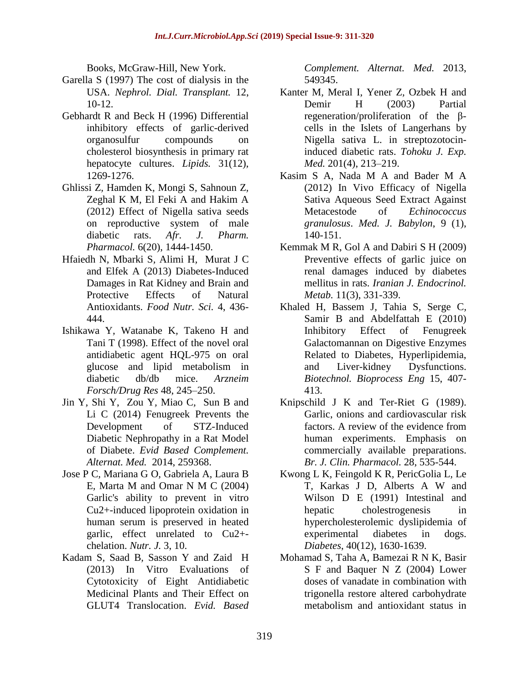Books, McGraw-Hill, New York.

- Garella S (1997) The cost of dialysis in the USA. *Nephrol. Dial. Transplant.* 12, 10-12.
- Gebhardt R and Beck H (1996) Differential inhibitory effects of garlic-derived organosulfur compounds on cholesterol biosynthesis in primary rat hepatocyte cultures. *Lipids.* 31(12), 1269-1276.
- Ghlissi Z*,* Hamden K*,* Mongi S*,* Sahnoun Z*,* Zeghal K M*,* El Feki A and Hakim A (2012) Effect of Nigella sativa seeds on reproductive system of male diabetic rats. *Afr. J. Pharm. Pharmacol.* 6(20), 1444-1450.
- Hfaiedh N*,* Mbarki S*,* Alimi H*,* Murat J C and Elfek A (2013) Diabetes-Induced Damages in Rat Kidney and Brain and Protective Effects of Natural Antioxidants. *Food Nutr. Sci.* 4, 436- 444.
- Ishikawa Y*,* Watanabe K*,* Takeno H and Tani T (1998). Effect of the novel oral antidiabetic agent HQL-975 on oral glucose and lipid metabolism in diabetic db/db mice. *Arzneim Forsch/Drug Res* 48, 245–250.
- Jin Y*,* Shi Y, Zou Y*,* Miao C*,* Sun B and Li C (2014) Fenugreek Prevents the Development of STZ-Induced Diabetic Nephropathy in a Rat Model of Diabete. *Evid Based Complement. Alternat. Med.* 2014, 259368.
- Jose P C*,* Mariana G O*,* Gabriela A*,* Laura B E*,* Marta M and Omar N M C (2004) Garlic's ability to prevent in vitro Cu2+-induced lipoprotein oxidation in human serum is preserved in heated garlic, effect unrelated to Cu2+ chelation. *Nutr. J.* 3, 10.
- Kadam S*,* Saad B*,* Sasson Y and Zaid H (2013) In Vitro Evaluations of Cytotoxicity of Eight Antidiabetic Medicinal Plants and Their Effect on GLUT4 Translocation. *Evid. Based*

*Complement. Alternat. Med.* 2013, 549345.

- Kanter M*,* Meral I*,* Yener Z*,* Ozbek H and Demir H (2003) Partial regeneration/proliferation of the βcells in the Islets of Langerhans by Nigella sativa L. in streptozotocininduced diabetic rats. *Tohoku J. Exp. Med.* 201(4), 213–219.
- Kasim S A*,* Nada M A and Bader M A (2012) In Vivo Efficacy of Nigella Sativa Aqueous Seed Extract Against Metacestode of *Echinococcus granulosus*. *Med. J. Babylon*, 9 (1), 140-151.
- Kemmak M R, Gol A and Dabiri S H (2009) Preventive effects of garlic juice on renal damages induced by diabetes mellitus in rats. *Iranian J. Endocrinol. Metab.* 11(3), 331-339.
- Khaled H*,* Bassem J*,* Tahia S*,* Serge C*,* Samir B and Abdelfattah E (2010) Inhibitory Effect of Fenugreek Galactomannan on Digestive Enzymes Related to Diabetes, Hyperlipidemia, and Liver-kidney Dysfunctions. *Biotechnol. Bioprocess Eng* 15, 407- 413.
- Knipschild J K and Ter-Riet G (1989). Garlic, onions and cardiovascular risk factors. A review of the evidence from human experiments. Emphasis on commercially available preparations. *Br. J. Clin. Pharmacol.* 28, 535-544.
- Kwong L K*,* Feingold K R*,* PericGolia L*,* Le T*,* Karkas J D*,* Alberts A W and Wilson D E (1991) Intestinal and hepatic cholestrogenesis in hypercholesterolemic dyslipidemia of experimental diabetes in dogs. *Diabetes*, 40(12), 1630-1639.
- Mohamad S*,* Taha A*,* Bamezai R N K*,* Basir S F and Baquer N Z (2004) Lower doses of vanadate in combination with trigonella restore altered carbohydrate metabolism and antioxidant status in